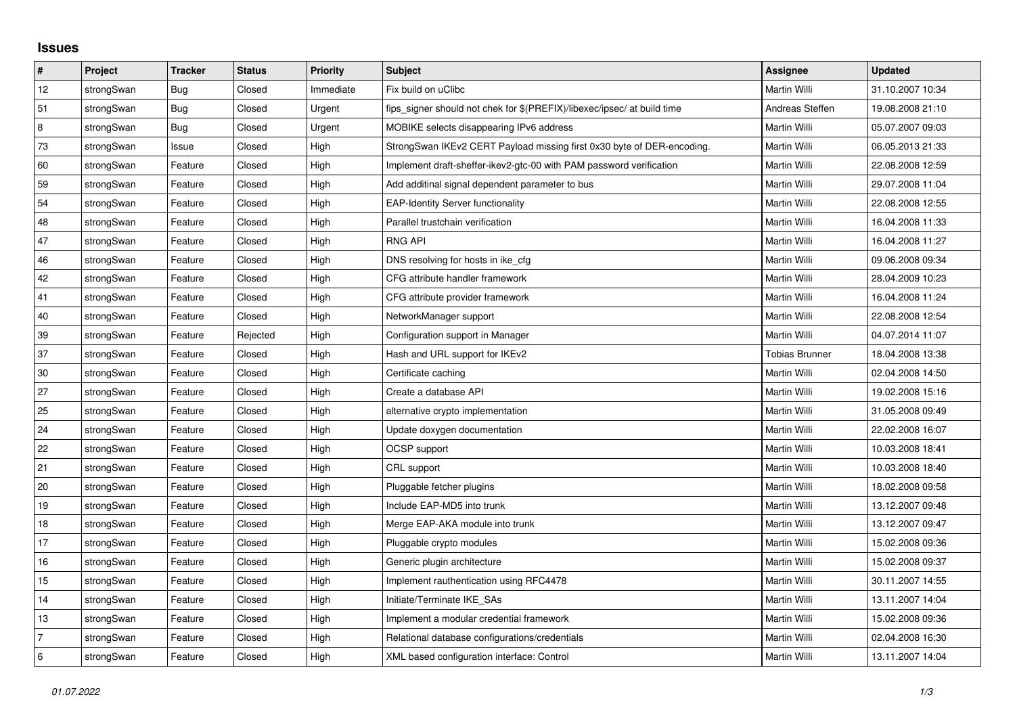## **Issues**

| $\vert$ #      | Project    | <b>Tracker</b> | <b>Status</b> | <b>Priority</b> | <b>Subject</b>                                                          | Assignee        | <b>Updated</b>   |
|----------------|------------|----------------|---------------|-----------------|-------------------------------------------------------------------------|-----------------|------------------|
| 12             | strongSwan | <b>Bug</b>     | Closed        | Immediate       | Fix build on uClibc                                                     | Martin Willi    | 31.10.2007 10:34 |
| 51             | strongSwan | Bug            | Closed        | Urgent          | fips signer should not chek for \$(PREFIX)/libexec/ipsec/ at build time | Andreas Steffen | 19.08.2008 21:10 |
| 8              | strongSwan | Bug            | Closed        | Urgent          | MOBIKE selects disappearing IPv6 address                                | Martin Willi    | 05.07.2007 09:03 |
| 73             | strongSwan | Issue          | Closed        | High            | StrongSwan IKEv2 CERT Payload missing first 0x30 byte of DER-encoding.  | Martin Willi    | 06.05.2013 21:33 |
| 60             | strongSwan | Feature        | Closed        | High            | Implement draft-sheffer-ikev2-gtc-00 with PAM password verification     | Martin Willi    | 22.08.2008 12:59 |
| 59             | strongSwan | Feature        | Closed        | High            | Add additinal signal dependent parameter to bus                         | Martin Willi    | 29.07.2008 11:04 |
| 54             | strongSwan | Feature        | Closed        | High            | <b>EAP-Identity Server functionality</b>                                | Martin Willi    | 22.08.2008 12:55 |
| 48             | strongSwan | Feature        | Closed        | High            | Parallel trustchain verification                                        | Martin Willi    | 16.04.2008 11:33 |
| 47             | strongSwan | Feature        | Closed        | High            | <b>RNG API</b>                                                          | Martin Willi    | 16.04.2008 11:27 |
| 46             | strongSwan | Feature        | Closed        | High            | DNS resolving for hosts in ike cfg                                      | Martin Willi    | 09.06.2008 09:34 |
| 42             | strongSwan | Feature        | Closed        | High            | CFG attribute handler framework                                         | Martin Willi    | 28.04.2009 10:23 |
| 41             | strongSwan | Feature        | Closed        | High            | CFG attribute provider framework                                        | Martin Willi    | 16.04.2008 11:24 |
| 40             | strongSwan | Feature        | Closed        | High            | NetworkManager support                                                  | Martin Willi    | 22.08.2008 12:54 |
| 39             | strongSwan | Feature        | Rejected      | High            | Configuration support in Manager                                        | Martin Willi    | 04.07.2014 11:07 |
| 37             | strongSwan | Feature        | Closed        | High            | Hash and URL support for IKEv2                                          | Tobias Brunner  | 18.04.2008 13:38 |
| 30             | strongSwan | Feature        | Closed        | High            | Certificate caching                                                     | Martin Willi    | 02.04.2008 14:50 |
| 27             | strongSwan | Feature        | Closed        | High            | Create a database API                                                   | Martin Willi    | 19.02.2008 15:16 |
| 25             | strongSwan | Feature        | Closed        | High            | alternative crypto implementation                                       | Martin Willi    | 31.05.2008 09:49 |
| $ 24\rangle$   | strongSwan | Feature        | Closed        | High            | Update doxygen documentation                                            | Martin Willi    | 22.02.2008 16:07 |
| 22             | strongSwan | Feature        | Closed        | High            | <b>OCSP</b> support                                                     | Martin Willi    | 10.03.2008 18:41 |
| 21             | strongSwan | Feature        | Closed        | High            | CRL support                                                             | Martin Willi    | 10.03.2008 18:40 |
| 20             | strongSwan | Feature        | Closed        | High            | Pluggable fetcher plugins                                               | Martin Willi    | 18.02.2008 09:58 |
| 19             | strongSwan | Feature        | Closed        | High            | Include EAP-MD5 into trunk                                              | Martin Willi    | 13.12.2007 09:48 |
| 18             | strongSwan | Feature        | Closed        | High            | Merge EAP-AKA module into trunk                                         | Martin Willi    | 13.12.2007 09:47 |
| 17             | strongSwan | Feature        | Closed        | High            | Pluggable crypto modules                                                | Martin Willi    | 15.02.2008 09:36 |
| 16             | strongSwan | Feature        | Closed        | High            | Generic plugin architecture                                             | Martin Willi    | 15.02.2008 09:37 |
| 15             | strongSwan | Feature        | Closed        | High            | Implement rauthentication using RFC4478                                 | Martin Willi    | 30.11.2007 14:55 |
| 14             | strongSwan | Feature        | Closed        | High            | Initiate/Terminate IKE SAs                                              | Martin Willi    | 13.11.2007 14:04 |
| 13             | strongSwan | Feature        | Closed        | High            | Implement a modular credential framework                                | Martin Willi    | 15.02.2008 09:36 |
| $\overline{7}$ | strongSwan | Feature        | Closed        | High            | Relational database configurations/credentials                          | Martin Willi    | 02.04.2008 16:30 |
| 6              | strongSwan | Feature        | Closed        | High            | XML based configuration interface: Control                              | Martin Willi    | 13.11.2007 14:04 |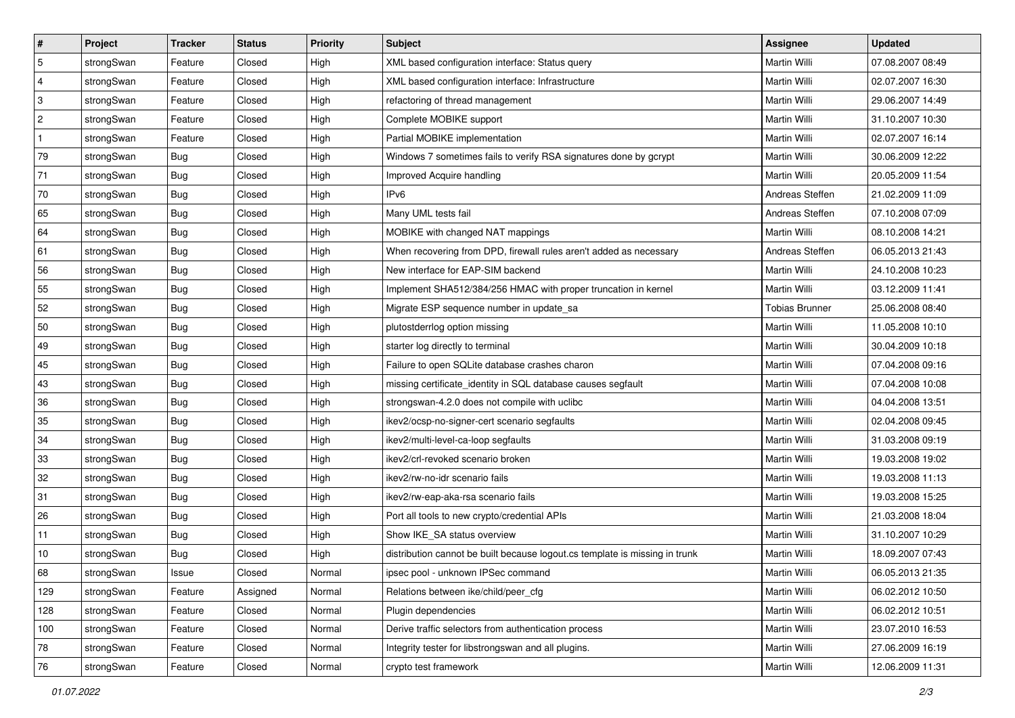| #            | Project    | <b>Tracker</b> | <b>Status</b> | <b>Priority</b> | Subject                                                                     | Assignee        | <b>Updated</b>   |
|--------------|------------|----------------|---------------|-----------------|-----------------------------------------------------------------------------|-----------------|------------------|
| $\sqrt{5}$   | strongSwan | Feature        | Closed        | High            | XML based configuration interface: Status query                             | Martin Willi    | 07.08.2007 08:49 |
| 4            | strongSwan | Feature        | Closed        | High            | XML based configuration interface: Infrastructure                           | Martin Willi    | 02.07.2007 16:30 |
| 3            | strongSwan | Feature        | Closed        | High            | refactoring of thread management                                            | Martin Willi    | 29.06.2007 14:49 |
| $\sqrt{2}$   | strongSwan | Feature        | Closed        | High            | Complete MOBIKE support                                                     | Martin Willi    | 31.10.2007 10:30 |
| $\mathbf{1}$ | strongSwan | Feature        | Closed        | High            | Partial MOBIKE implementation                                               | Martin Willi    | 02.07.2007 16:14 |
| 79           | strongSwan | <b>Bug</b>     | Closed        | High            | Windows 7 sometimes fails to verify RSA signatures done by gcrypt           | Martin Willi    | 30.06.2009 12:22 |
| 71           | strongSwan | Bug            | Closed        | High            | Improved Acquire handling                                                   | Martin Willi    | 20.05.2009 11:54 |
| 70           | strongSwan | <b>Bug</b>     | Closed        | High            | IP <sub>v6</sub>                                                            | Andreas Steffen | 21.02.2009 11:09 |
| 65           | strongSwan | Bug            | Closed        | High            | Many UML tests fail                                                         | Andreas Steffen | 07.10.2008 07:09 |
| 64           | strongSwan | Bug            | Closed        | High            | MOBIKE with changed NAT mappings                                            | Martin Willi    | 08.10.2008 14:21 |
| 61           | strongSwan | <b>Bug</b>     | Closed        | High            | When recovering from DPD, firewall rules aren't added as necessary          | Andreas Steffen | 06.05.2013 21:43 |
| 56           | strongSwan | Bug            | Closed        | High            | New interface for EAP-SIM backend                                           | Martin Willi    | 24.10.2008 10:23 |
| 55           | strongSwan | Bug            | Closed        | High            | Implement SHA512/384/256 HMAC with proper truncation in kernel              | Martin Willi    | 03.12.2009 11:41 |
| 52           | strongSwan | Bug            | Closed        | High            | Migrate ESP sequence number in update_sa                                    | Tobias Brunner  | 25.06.2008 08:40 |
| 50           | strongSwan | <b>Bug</b>     | Closed        | High            | plutostderrlog option missing                                               | Martin Willi    | 11.05.2008 10:10 |
| 49           | strongSwan | <b>Bug</b>     | Closed        | High            | starter log directly to terminal                                            | Martin Willi    | 30.04.2009 10:18 |
| 45           | strongSwan | <b>Bug</b>     | Closed        | High            | Failure to open SQLite database crashes charon                              | Martin Willi    | 07.04.2008 09:16 |
| 43           | strongSwan | Bug            | Closed        | High            | missing certificate_identity in SQL database causes segfault                | Martin Willi    | 07.04.2008 10:08 |
| 36           | strongSwan | Bug            | Closed        | High            | strongswan-4.2.0 does not compile with uclibe                               | Martin Willi    | 04.04.2008 13:51 |
| 35           | strongSwan | Bug            | Closed        | High            | ikev2/ocsp-no-signer-cert scenario segfaults                                | Martin Willi    | 02.04.2008 09:45 |
| 34           | strongSwan | Bug            | Closed        | High            | ikev2/multi-level-ca-loop segfaults                                         | Martin Willi    | 31.03.2008 09:19 |
| 33           | strongSwan | Bug            | Closed        | High            | ikev2/crl-revoked scenario broken                                           | Martin Willi    | 19.03.2008 19:02 |
| 32           | strongSwan | Bug            | Closed        | High            | ikev2/rw-no-idr scenario fails                                              | Martin Willi    | 19.03.2008 11:13 |
| 31           | strongSwan | <b>Bug</b>     | Closed        | High            | ikev2/rw-eap-aka-rsa scenario fails                                         | Martin Willi    | 19.03.2008 15:25 |
| 26           | strongSwan | Bug            | Closed        | High            | Port all tools to new crypto/credential APIs                                | Martin Willi    | 21.03.2008 18:04 |
| 11           | strongSwan | Bug            | Closed        | High            | Show IKE_SA status overview                                                 | Martin Willi    | 31.10.2007 10:29 |
| 10           | strongSwan | Bug            | Closed        | High            | distribution cannot be built because logout.cs template is missing in trunk | Martin Willi    | 18.09.2007 07:43 |
| 68           | strongSwan | Issue          | Closed        | Normal          | ipsec pool - unknown IPSec command                                          | Martin Willi    | 06.05.2013 21:35 |
| 129          | strongSwan | Feature        | Assigned      | Normal          | Relations between ike/child/peer cfg                                        | Martin Willi    | 06.02.2012 10:50 |
| 128          | strongSwan | Feature        | Closed        | Normal          | Plugin dependencies                                                         | Martin Willi    | 06.02.2012 10:51 |
| 100          | strongSwan | Feature        | Closed        | Normal          | Derive traffic selectors from authentication process                        | Martin Willi    | 23.07.2010 16:53 |
| 78           | strongSwan | Feature        | Closed        | Normal          | Integrity tester for libstrongswan and all plugins.                         | Martin Willi    | 27.06.2009 16:19 |
| 76           | strongSwan | Feature        | Closed        | Normal          | crypto test framework                                                       | Martin Willi    | 12.06.2009 11:31 |